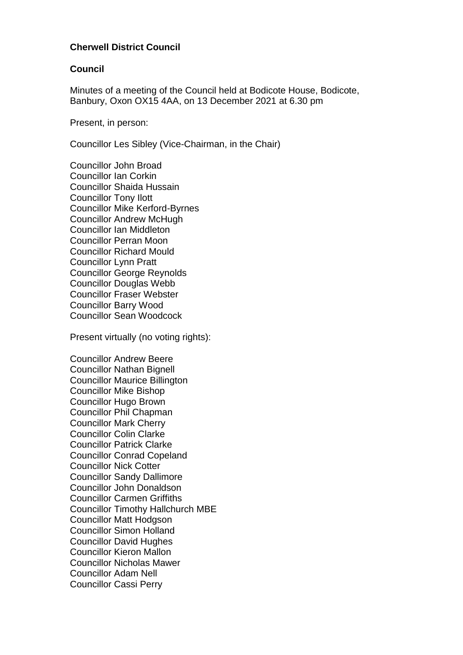### **Cherwell District Council**

#### **Council**

Minutes of a meeting of the Council held at Bodicote House, Bodicote, Banbury, Oxon OX15 4AA, on 13 December 2021 at 6.30 pm

Present, in person:

Councillor Les Sibley (Vice-Chairman, in the Chair)

Councillor John Broad Councillor Ian Corkin Councillor Shaida Hussain Councillor Tony Ilott Councillor Mike Kerford-Byrnes Councillor Andrew McHugh Councillor Ian Middleton Councillor Perran Moon Councillor Richard Mould Councillor Lynn Pratt Councillor George Reynolds Councillor Douglas Webb Councillor Fraser Webster Councillor Barry Wood Councillor Sean Woodcock

Present virtually (no voting rights):

Councillor Andrew Beere Councillor Nathan Bignell Councillor Maurice Billington Councillor Mike Bishop Councillor Hugo Brown Councillor Phil Chapman Councillor Mark Cherry Councillor Colin Clarke Councillor Patrick Clarke Councillor Conrad Copeland Councillor Nick Cotter Councillor Sandy Dallimore Councillor John Donaldson Councillor Carmen Griffiths Councillor Timothy Hallchurch MBE Councillor Matt Hodgson Councillor Simon Holland Councillor David Hughes Councillor Kieron Mallon Councillor Nicholas Mawer Councillor Adam Nell Councillor Cassi Perry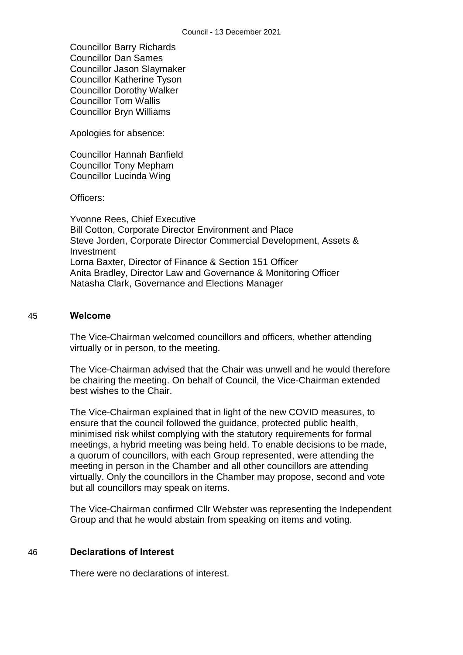Councillor Barry Richards Councillor Dan Sames Councillor Jason Slaymaker Councillor Katherine Tyson Councillor Dorothy Walker Councillor Tom Wallis Councillor Bryn Williams

Apologies for absence:

Councillor Hannah Banfield Councillor Tony Mepham Councillor Lucinda Wing

Officers:

Yvonne Rees, Chief Executive Bill Cotton, Corporate Director Environment and Place Steve Jorden, Corporate Director Commercial Development, Assets & Investment Lorna Baxter, Director of Finance & Section 151 Officer Anita Bradley, Director Law and Governance & Monitoring Officer Natasha Clark, Governance and Elections Manager

#### 45 **Welcome**

The Vice-Chairman welcomed councillors and officers, whether attending virtually or in person, to the meeting.

The Vice-Chairman advised that the Chair was unwell and he would therefore be chairing the meeting. On behalf of Council, the Vice-Chairman extended best wishes to the Chair.

The Vice-Chairman explained that in light of the new COVID measures, to ensure that the council followed the guidance, protected public health, minimised risk whilst complying with the statutory requirements for formal meetings, a hybrid meeting was being held. To enable decisions to be made, a quorum of councillors, with each Group represented, were attending the meeting in person in the Chamber and all other councillors are attending virtually. Only the councillors in the Chamber may propose, second and vote but all councillors may speak on items.

The Vice-Chairman confirmed Cllr Webster was representing the Independent Group and that he would abstain from speaking on items and voting.

#### 46 **Declarations of Interest**

There were no declarations of interest.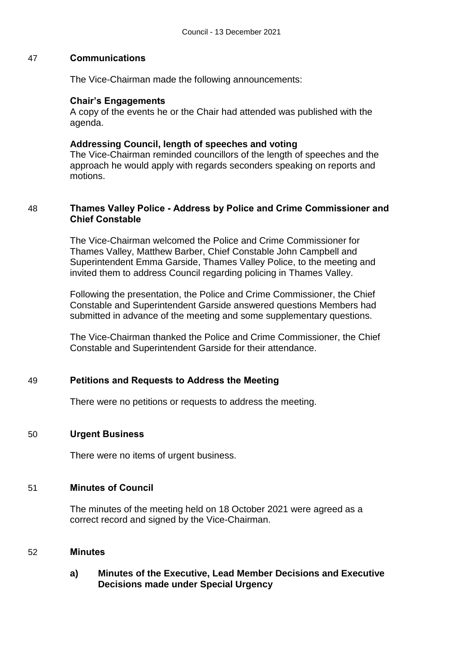### 47 **Communications**

The Vice-Chairman made the following announcements:

### **Chair's Engagements**

A copy of the events he or the Chair had attended was published with the agenda.

### **Addressing Council, length of speeches and voting**

The Vice-Chairman reminded councillors of the length of speeches and the approach he would apply with regards seconders speaking on reports and motions.

### 48 **Thames Valley Police - Address by Police and Crime Commissioner and Chief Constable**

The Vice-Chairman welcomed the Police and Crime Commissioner for Thames Valley, Matthew Barber, Chief Constable John Campbell and Superintendent Emma Garside, Thames Valley Police, to the meeting and invited them to address Council regarding policing in Thames Valley.

Following the presentation, the Police and Crime Commissioner, the Chief Constable and Superintendent Garside answered questions Members had submitted in advance of the meeting and some supplementary questions.

The Vice-Chairman thanked the Police and Crime Commissioner, the Chief Constable and Superintendent Garside for their attendance.

### 49 **Petitions and Requests to Address the Meeting**

There were no petitions or requests to address the meeting.

### 50 **Urgent Business**

There were no items of urgent business.

### 51 **Minutes of Council**

The minutes of the meeting held on 18 October 2021 were agreed as a correct record and signed by the Vice-Chairman.

### 52 **Minutes**

### **a) Minutes of the Executive, Lead Member Decisions and Executive Decisions made under Special Urgency**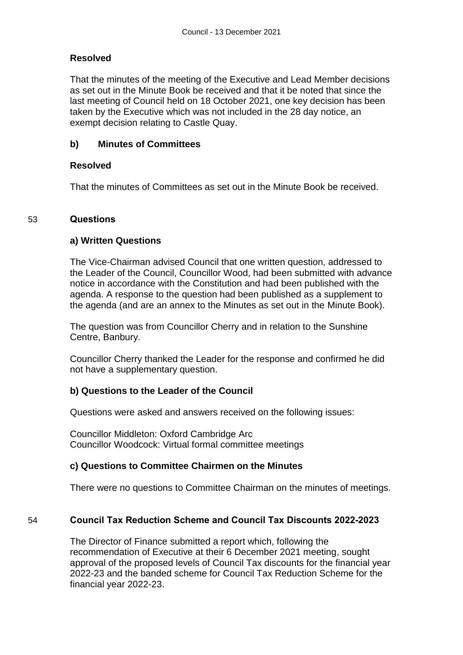## **Resolved**

That the minutes of the meeting of the Executive and Lead Member decisions as set out in the Minute Book be received and that it be noted that since the last meeting of Council held on 18 October 2021, one key decision has been taken by the Executive which was not included in the 28 day notice, an exempt decision relating to Castle Quay.

## **b) Minutes of Committees**

### **Resolved**

That the minutes of Committees as set out in the Minute Book be received.

## 53 **Questions**

## **a) Written Questions**

The Vice-Chairman advised Council that one written question, addressed to the Leader of the Council, Councillor Wood, had been submitted with advance notice in accordance with the Constitution and had been published with the agenda. A response to the question had been published as a supplement to the agenda (and are an annex to the Minutes as set out in the Minute Book).

The question was from Councillor Cherry and in relation to the Sunshine Centre, Banbury.

Councillor Cherry thanked the Leader for the response and confirmed he did not have a supplementary question.

# **b) Questions to the Leader of the Council**

Questions were asked and answers received on the following issues:

Councillor Middleton: Oxford Cambridge Arc Councillor Woodcock: Virtual formal committee meetings

# **c) Questions to Committee Chairmen on the Minutes**

There were no questions to Committee Chairman on the minutes of meetings.

# 54 **Council Tax Reduction Scheme and Council Tax Discounts 2022-2023**

The Director of Finance submitted a report which, following the recommendation of Executive at their 6 December 2021 meeting, sought approval of the proposed levels of Council Tax discounts for the financial year 2022-23 and the banded scheme for Council Tax Reduction Scheme for the financial year 2022-23.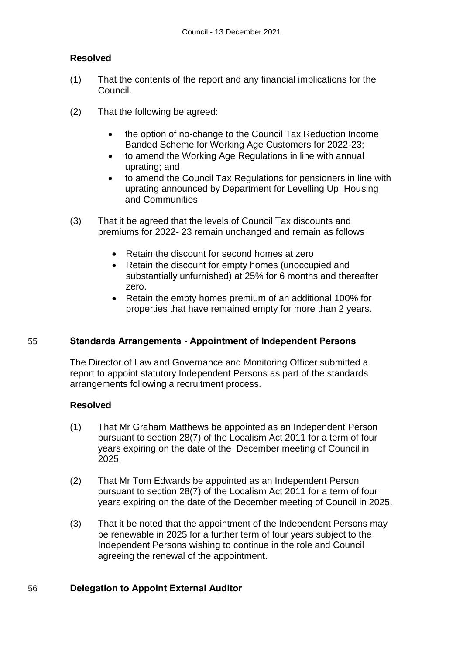## **Resolved**

- (1) That the contents of the report and any financial implications for the Council.
- (2) That the following be agreed:
	- the option of no-change to the Council Tax Reduction Income Banded Scheme for Working Age Customers for 2022-23;
	- to amend the Working Age Regulations in line with annual uprating; and
	- to amend the Council Tax Regulations for pensioners in line with uprating announced by Department for Levelling Up, Housing and Communities.
- (3) That it be agreed that the levels of Council Tax discounts and premiums for 2022- 23 remain unchanged and remain as follows
	- Retain the discount for second homes at zero
	- Retain the discount for empty homes (unoccupied and substantially unfurnished) at 25% for 6 months and thereafter zero.
	- Retain the empty homes premium of an additional 100% for properties that have remained empty for more than 2 years.

### 55 **Standards Arrangements - Appointment of Independent Persons**

The Director of Law and Governance and Monitoring Officer submitted a report to appoint statutory Independent Persons as part of the standards arrangements following a recruitment process.

### **Resolved**

- (1) That Mr Graham Matthews be appointed as an Independent Person pursuant to section 28(7) of the Localism Act 2011 for a term of four years expiring on the date of the December meeting of Council in 2025.
- (2) That Mr Tom Edwards be appointed as an Independent Person pursuant to section 28(7) of the Localism Act 2011 for a term of four years expiring on the date of the December meeting of Council in 2025.
- (3) That it be noted that the appointment of the Independent Persons may be renewable in 2025 for a further term of four years subject to the Independent Persons wishing to continue in the role and Council agreeing the renewal of the appointment.

# 56 **Delegation to Appoint External Auditor**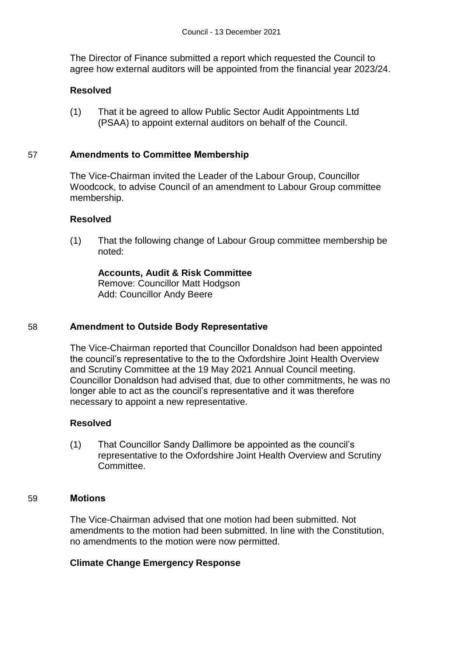The Director of Finance submitted a report which requested the Council to agree how external auditors will be appointed from the financial year 2023/24.

### **Resolved**

(1) That it be agreed to allow Public Sector Audit Appointments Ltd (PSAA) to appoint external auditors on behalf of the Council.

### 57 **Amendments to Committee Membership**

The Vice-Chairman invited the Leader of the Labour Group, Councillor Woodcock, to advise Council of an amendment to Labour Group committee membership.

### **Resolved**

(1) That the following change of Labour Group committee membership be noted:

**Accounts, Audit & Risk Committee** Remove: Councillor Matt Hodgson Add: Councillor Andy Beere

### 58 **Amendment to Outside Body Representative**

The Vice-Chairman reported that Councillor Donaldson had been appointed the council's representative to the to the Oxfordshire Joint Health Overview and Scrutiny Committee at the 19 May 2021 Annual Council meeting. Councillor Donaldson had advised that, due to other commitments, he was no longer able to act as the council's representative and it was therefore necessary to appoint a new representative.

### **Resolved**

(1) That Councillor Sandy Dallimore be appointed as the council's representative to the Oxfordshire Joint Health Overview and Scrutiny Committee.

#### 59 **Motions**

The Vice-Chairman advised that one motion had been submitted. Not amendments to the motion had been submitted. In line with the Constitution, no amendments to the motion were now permitted.

### **Climate Change Emergency Response**